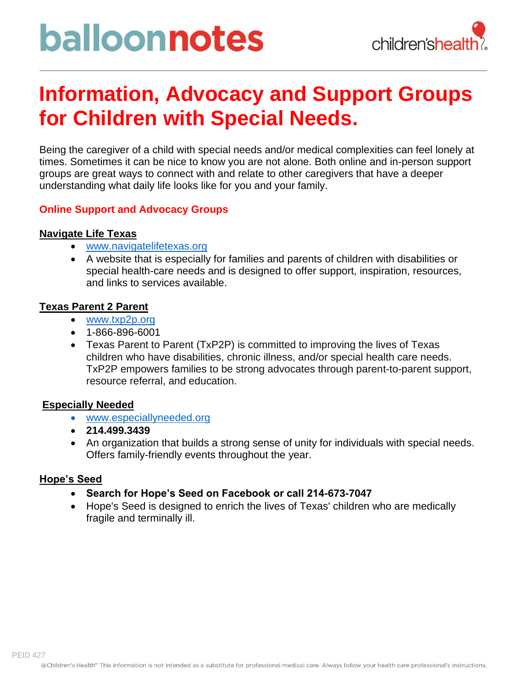# balloonnotes



### **Information, Advocacy and Support Groups for Children with Special Needs.**

Being the caregiver of a child with special needs and/or medical complexities can feel lonely at times. Sometimes it can be nice to know you are not alone. Both online and in-person support groups are great ways to connect with and relate to other caregivers that have a deeper understanding what daily life looks like for you and your family.

### **Online Support and Advocacy Groups**

### **Navigate Life Texas**

- [www.navigatelifetexas.org](http://www.navigatelifetexas.org/)
- A website that is especially for families and parents of children with disabilities or special health-care needs and is designed to offer support, inspiration, resources, and links to services available.

### **Texas Parent 2 Parent**

- [www.txp2p.org](http://www.txp2p.org/)
- 1-866-896-6001
- Texas Parent to Parent (TxP2P) is committed to improving the lives of Texas children who have disabilities, chronic illness, and/or special health care needs. TxP2P empowers families to be strong advocates through parent-to-parent support, resource referral, and education.

### **Especially Needed**

- [www.especiallyneeded.org](http://www.especiallyneeded.org/)
- **214.499.3439**
- An organization that builds a strong sense of unity for individuals with special needs. Offers family-friendly events throughout the year.

### **Hope's Seed**

- **Search for Hope's Seed on Facebook or call 214-673-7047**
- Hope's Seed is designed to enrich the lives of Texas' children who are medically fragile and terminally ill.